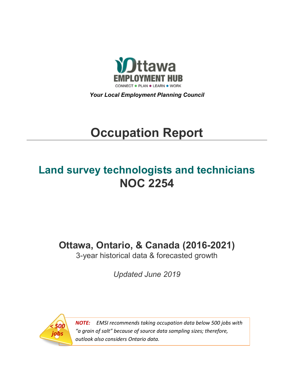

*Your Local Employment Planning Council*

# **Occupation Report**

# **Land survey technologists and technicians NOC 2254**

**Ottawa, Ontario, & Canada (2016-2021)**

3-year historical data & forecasted growth

*Updated June 2019*



*NOTE: EMSI recommends taking occupation data below 500 jobs with "a grain of salt" because of source data sampling sizes; therefore, outlook also considers Ontario data.*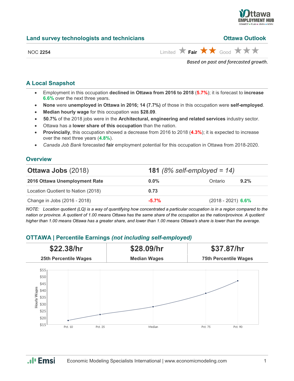

| Land survey technologists and technicians | <b>Ottawa Outlook</b>                                                         |
|-------------------------------------------|-------------------------------------------------------------------------------|
| NOC 2254                                  | Limited $\bigstar$ Fair $\bigstar \bigstar$ Good $\bigstar \bigstar \bigstar$ |

*Based on past and forecasted growth.*

#### **A Local Snapshot**

- Employment in this occupation **declined in Ottawa from 2016 to 2018** (**5.7%**); it is forecast to **increase 6.6%** over the next three years.
- **None** were **unemployed in Ottawa in 2016; 14 (7.7%)** of those in this occupation were **self-employed**.
- **Median hourly wage** for this occupation was **\$28.09**.
- **50.7%** of the 2018 jobs were in the **Architectural, engineering and related services** industry sector.
- Ottawa has a **lower share of this occupation** than the nation.
- **Provincially**, this occupation showed a decrease from 2016 to 2018 (**4.3%**); it is expected to increase over the next three years (**4.8%**).
- *Canada Job Bank* forecasted **fair** employment potential for this occupation in Ottawa from 2018-2020.

#### **Overview**

| <b>Ottawa Jobs (2018)</b>          |          | <b>181</b> (8% self-employed = $14$ ) |
|------------------------------------|----------|---------------------------------------|
| 2016 Ottawa Unemployment Rate      | $0.0\%$  | Ontario<br>$9.2\%$                    |
| Location Quotient to Nation (2018) | 0.73     |                                       |
| Change in Jobs (2016 - 2018)       | $-5.7\%$ | $(2018 - 2021)$ 6.6%                  |

*NOTE: Location quotient (LQ) is a way of quantifying how concentrated a particular occupation is in a region compared to the nation or province. A quotient of 1.00 means Ottawa has the same share of the occupation as the nation/province. A quotient higher than 1.00 means Ottawa has a greater share, and lower than 1.00 means Ottawa's share is lower than the average.*

### **OTTAWA | Percentile Earnings** *(not including self-employed)*



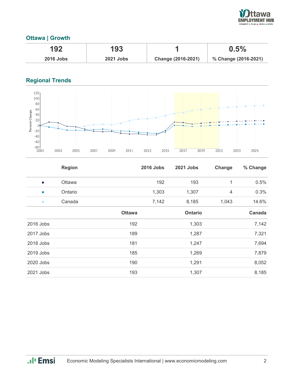

## **Ottawa | Growth**

| 192              | 193              |                    | 0.5%                 |
|------------------|------------------|--------------------|----------------------|
| <b>2016 Jobs</b> | <b>2021 Jobs</b> | Change (2016-2021) | % Change (2016-2021) |

# **Regional Trends**



|             | <b>Region</b> |               | <b>2016 Jobs</b> | <b>2021 Jobs</b> | Change         | % Change |
|-------------|---------------|---------------|------------------|------------------|----------------|----------|
| $\bullet$   | <b>Ottawa</b> |               | 192              | 193              | 1              | 0.5%     |
| $\bullet$   | Ontario       |               | 1,303            | 1,307            | $\overline{4}$ | 0.3%     |
| $\bullet$   | Canada        |               | 7,142            | 8,185            | 1,043          | 14.6%    |
|             |               | <b>Ottawa</b> |                  | <b>Ontario</b>   |                | Canada   |
| 2016 Jobs   |               | 192           |                  | 1,303            |                | 7,142    |
| 2017 Jobs   |               | 189           |                  | 1,287            |                | 7,321    |
| 2018 Jobs   |               | 181           |                  | 1,247            |                | 7,694    |
| $2019$ Jobs |               | 185           |                  | 1,269            |                | 7,879    |
| 2020 Jobs   |               | 190           |                  | 1,291            |                | 8,052    |
| 2021 Jobs   |               | 193           |                  | 1,307            |                | 8,185    |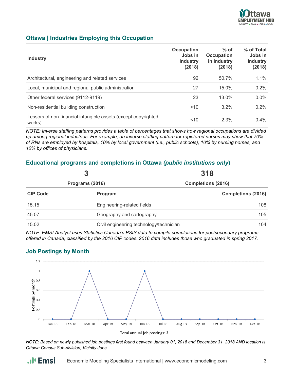

#### **Ottawa | Industries Employing this Occupation**

| <b>Industry</b>                                                          | <b>Occupation</b><br>Jobs in<br><b>Industry</b><br>(2018) | $%$ of<br><b>Occupation</b><br>in Industry<br>(2018) | % of Total<br>Jobs in<br><b>Industry</b><br>(2018) |
|--------------------------------------------------------------------------|-----------------------------------------------------------|------------------------------------------------------|----------------------------------------------------|
| Architectural, engineering and related services                          | 92                                                        | 50.7%                                                | 1.1%                                               |
| Local, municipal and regional public administration                      | 27                                                        | 15.0%                                                | 0.2%                                               |
| Other federal services (9112-9119)                                       | 23                                                        | 13.0%                                                | $0.0\%$                                            |
| Non-residential building construction                                    | ~10                                                       | $3.2\%$                                              | $0.2\%$                                            |
| Lessors of non-financial intangible assets (except copyrighted<br>works) | ~10                                                       | 2.3%                                                 | $0.4\%$                                            |

*NOTE: Inverse staffing patterns provides a table of percentages that shows how regional occupations are divided up among regional industries. For example, an inverse staffing pattern for registered nurses may show that 70% of RNs are employed by hospitals, 10% by local government (i.e., public schools), 10% by nursing homes, and 10% by offices of physicians.*

#### **Educational programs and completions in Ottawa** *(public institutions only***)**

| 3               |                            | 318                                            |  |
|-----------------|----------------------------|------------------------------------------------|--|
| Programs (2016) | <b>Completions (2016)</b>  |                                                |  |
| <b>CIP Code</b> | Program                    | <b>Completions (2016)</b>                      |  |
| 15.15           | Engineering-related fields | 108                                            |  |
| 45.07           |                            | 105<br>Geography and cartography               |  |
| 15.02           |                            | Civil engineering technology/technician<br>104 |  |

*NOTE: EMSI Analyst uses Statistics Canada's PSIS data to compile completions for postsecondary programs offered in Canada, classified by the 2016 CIP codes. 2016 data includes those who graduated in spring 2017.*

### **Job Postings by Month**

.**.**. Emsi





*NOTE: Based on newly published job postings first found between January 01, 2018 and December 31, 2018 AND location is Ottawa Census Sub-division, Vicinity Jobs.*